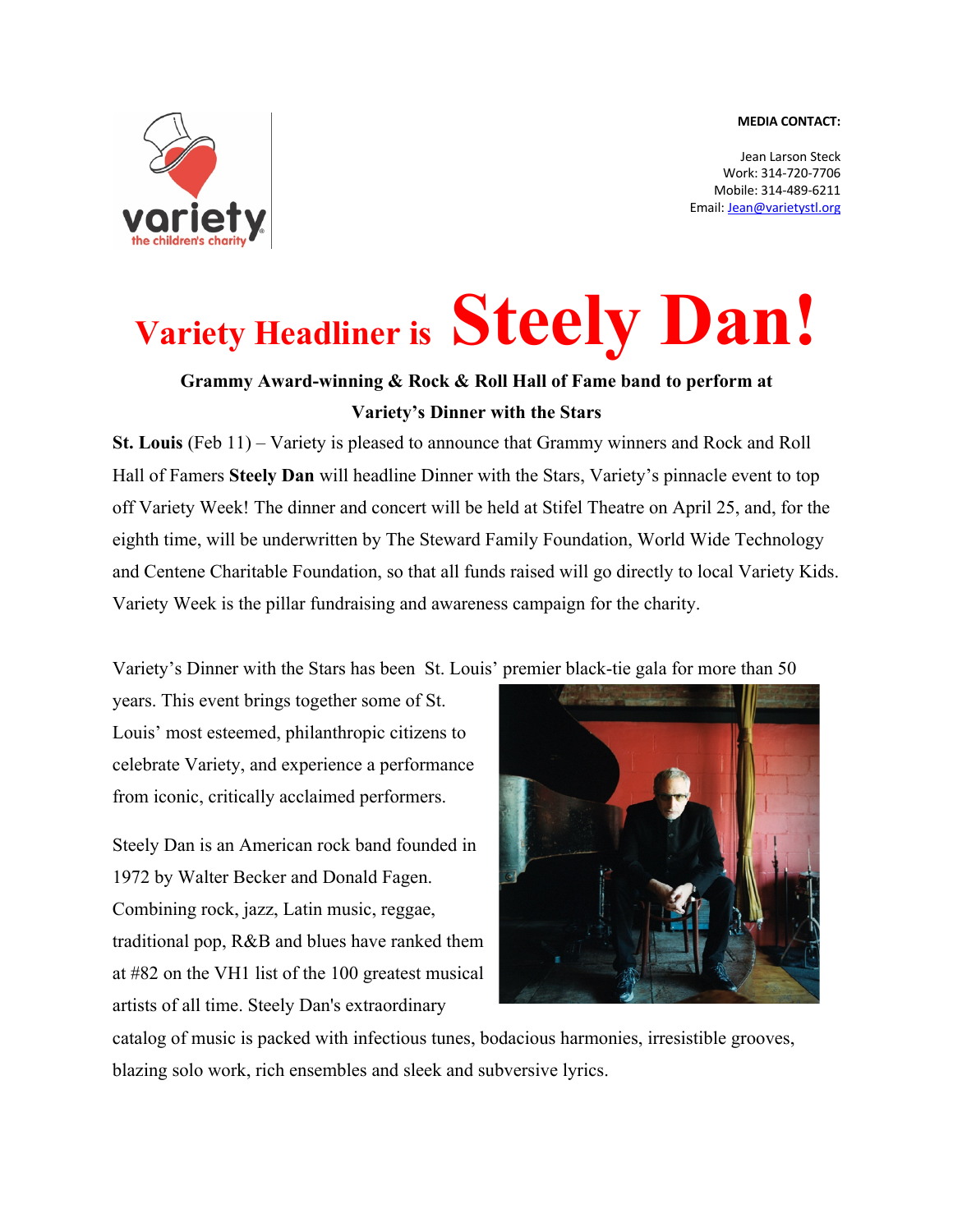## **MEDIA CONTACT:**



Jean Larson Steck Work: 314-720-7706 Mobile: 314-489-6211 Email: Jean@varietystl.org

## **Variety Headliner is Steely Dan!**

## **Grammy Award-winning & Rock & Roll Hall of Fame band to perform at Variety's Dinner with the Stars**

**St. Louis** (Feb 11) – Variety is pleased to announce that Grammy winners and Rock and Roll Hall of Famers **Steely Dan** will headline Dinner with the Stars, Variety's pinnacle event to top off Variety Week! The dinner and concert will be held at Stifel Theatre on April 25, and, for the eighth time, will be underwritten by The Steward Family Foundation, World Wide Technology and Centene Charitable Foundation, so that all funds raised will go directly to local Variety Kids. Variety Week is the pillar fundraising and awareness campaign for the charity.

Variety's Dinner with the Stars has been St. Louis' premier black-tie gala for more than 50

years. This event brings together some of St. Louis' most esteemed, philanthropic citizens to celebrate Variety, and experience a performance from iconic, critically acclaimed performers.

Steely Dan is an American rock band founded in 1972 by Walter Becker and Donald Fagen. Combining rock, jazz, Latin music, reggae, traditional pop, R&B and blues have ranked them at #82 on the VH1 list of the 100 greatest musical artists of all time. Steely Dan's extraordinary



catalog of music is packed with infectious tunes, bodacious harmonies, irresistible grooves, blazing solo work, rich ensembles and sleek and subversive lyrics.